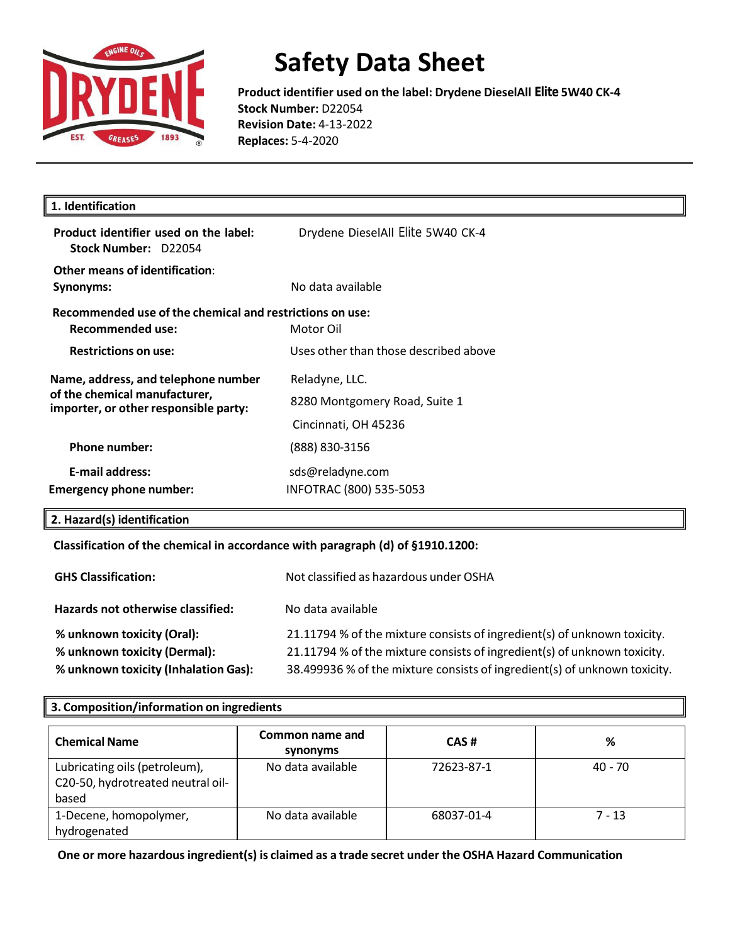

**Product identifier used on the label: Drydene DieselAll Elite 5W40 CK-4 Stock Number:** D22054 **Revision Date:** 4-13-2022 **Replaces:** 5-4-2020

| 1. Identification                                                                                             |                                                 |
|---------------------------------------------------------------------------------------------------------------|-------------------------------------------------|
| Product identifier used on the label:<br>Stock Number: D22054                                                 | Drydene DieselAll Elite 5W40 CK-4               |
| Other means of identification:<br>Synonyms:                                                                   | No data available                               |
| Recommended use of the chemical and restrictions on use:<br>Recommended use:                                  | Motor Oil                                       |
| <b>Restrictions on use:</b>                                                                                   | Uses other than those described above           |
| Name, address, and telephone number<br>of the chemical manufacturer,<br>importer, or other responsible party: | Reladyne, LLC.<br>8280 Montgomery Road, Suite 1 |
|                                                                                                               | Cincinnati, OH 45236                            |
| <b>Phone number:</b>                                                                                          | (888) 830-3156                                  |
| <b>E-mail address:</b>                                                                                        | sds@reladyne.com                                |
| <b>Emergency phone number:</b>                                                                                | INFOTRAC (800) 535-5053                         |

### **2. Hazard(s) identification**

#### **Classification of the chemical in accordance with paragraph (d) of §1910.1200:**

| <b>GHS Classification:</b>                                                                         | Not classified as hazardous under OSHA                                                                                                                                                                                            |  |
|----------------------------------------------------------------------------------------------------|-----------------------------------------------------------------------------------------------------------------------------------------------------------------------------------------------------------------------------------|--|
| Hazards not otherwise classified:                                                                  | No data available                                                                                                                                                                                                                 |  |
| % unknown toxicity (Oral):<br>% unknown toxicity (Dermal):<br>% unknown toxicity (Inhalation Gas): | 21.11794 % of the mixture consists of ingredient(s) of unknown toxicity.<br>21.11794 % of the mixture consists of ingredient(s) of unknown toxicity.<br>38.499936 % of the mixture consists of ingredient(s) of unknown toxicity. |  |

#### **3. Composition/information on ingredients**

| <b>Chemical Name</b>                                                        | Common name and<br>synonyms | CAS#       | %         |
|-----------------------------------------------------------------------------|-----------------------------|------------|-----------|
| Lubricating oils (petroleum),<br>C20-50, hydrotreated neutral oil-<br>based | No data available           | 72623-87-1 | $40 - 70$ |
| 1-Decene, homopolymer,<br>hydrogenated                                      | No data available           | 68037-01-4 | $7 - 13$  |

**One or more hazardousingredient(s) is claimed as a trade secret under the OSHA Hazard Communication**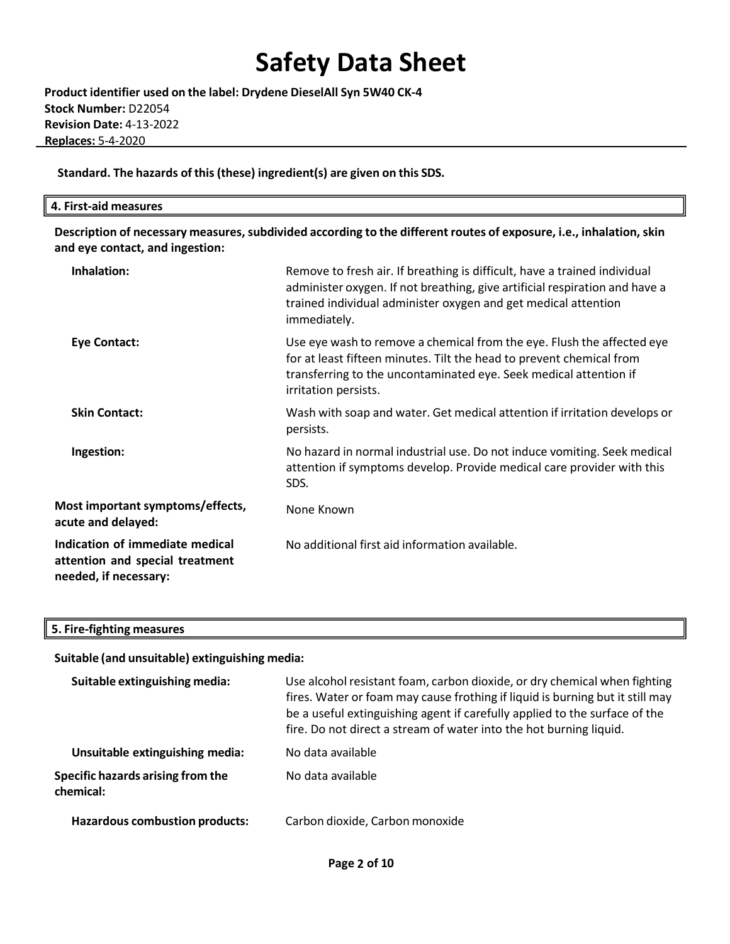**Product identifier used on the label: Drydene DieselAll Syn 5W40 CK-4 Stock Number:** D22054 **Revision Date:** 4-13-2022 **Replaces:** 5-4-2020

**Standard. The hazards of this(these) ingredient(s) are given on this SDS.**

| $- \cdot$<br>$\mathbf{A}$<br>First-aid measures<br>. |  |  |
|------------------------------------------------------|--|--|
|                                                      |  |  |

**Description of necessary measures,subdivided according to the different routes of exposure, i.e., inhalation, skin and eye contact, and ingestion:**

| Inhalation:                                                                                 | Remove to fresh air. If breathing is difficult, have a trained individual<br>administer oxygen. If not breathing, give artificial respiration and have a<br>trained individual administer oxygen and get medical attention<br>immediately.  |
|---------------------------------------------------------------------------------------------|---------------------------------------------------------------------------------------------------------------------------------------------------------------------------------------------------------------------------------------------|
| <b>Eye Contact:</b>                                                                         | Use eye wash to remove a chemical from the eye. Flush the affected eye<br>for at least fifteen minutes. Tilt the head to prevent chemical from<br>transferring to the uncontaminated eye. Seek medical attention if<br>irritation persists. |
| <b>Skin Contact:</b>                                                                        | Wash with soap and water. Get medical attention if irritation develops or<br>persists.                                                                                                                                                      |
| Ingestion:                                                                                  | No hazard in normal industrial use. Do not induce vomiting. Seek medical<br>attention if symptoms develop. Provide medical care provider with this<br>SDS.                                                                                  |
| Most important symptoms/effects,<br>acute and delayed:                                      | None Known                                                                                                                                                                                                                                  |
| Indication of immediate medical<br>attention and special treatment<br>needed, if necessary: | No additional first aid information available.                                                                                                                                                                                              |

**5. Fire-fighting measures**

**Suitable (and unsuitable) extinguishing media:**

| Suitable extinguishing media:                  | Use alcohol resistant foam, carbon dioxide, or dry chemical when fighting<br>fires. Water or foam may cause frothing if liquid is burning but it still may<br>be a useful extinguishing agent if carefully applied to the surface of the<br>fire. Do not direct a stream of water into the hot burning liquid. |  |
|------------------------------------------------|----------------------------------------------------------------------------------------------------------------------------------------------------------------------------------------------------------------------------------------------------------------------------------------------------------------|--|
| Unsuitable extinguishing media:                | No data available                                                                                                                                                                                                                                                                                              |  |
| Specific hazards arising from the<br>chemical: | No data available                                                                                                                                                                                                                                                                                              |  |
| Hazardous combustion products:                 | Carbon dioxide, Carbon monoxide                                                                                                                                                                                                                                                                                |  |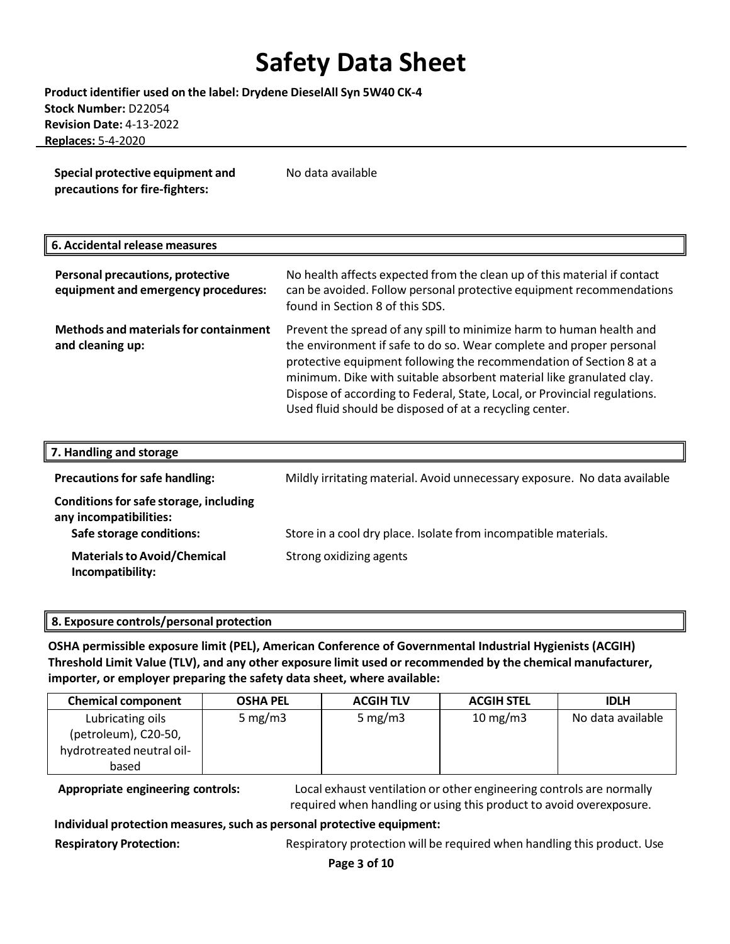**Product identifier used on the label: Drydene DieselAll Syn 5W40 CK-4 Stock Number:** D22054 **Revision Date:** 4-13-2022 **Replaces:** 5-4-2020

**Special protective equipment and precautions for fire-fighters:** No data available

#### **6. Accidental release measures**

| Personal precautions, protective<br>equipment and emergency procedures: | No health affects expected from the clean up of this material if contact<br>can be avoided. Follow personal protective equipment recommendations<br>found in Section 8 of this SDS.                                                                                                                                                                                                                                                |
|-------------------------------------------------------------------------|------------------------------------------------------------------------------------------------------------------------------------------------------------------------------------------------------------------------------------------------------------------------------------------------------------------------------------------------------------------------------------------------------------------------------------|
| <b>Methods and materials for containment</b><br>and cleaning up:        | Prevent the spread of any spill to minimize harm to human health and<br>the environment if safe to do so. Wear complete and proper personal<br>protective equipment following the recommendation of Section 8 at a<br>minimum. Dike with suitable absorbent material like granulated clay.<br>Dispose of according to Federal, State, Local, or Provincial regulations.<br>Used fluid should be disposed of at a recycling center. |

| 7. Handling and storage                                                                      |                                                                           |
|----------------------------------------------------------------------------------------------|---------------------------------------------------------------------------|
| <b>Precautions for safe handling:</b>                                                        | Mildly irritating material. Avoid unnecessary exposure. No data available |
| Conditions for safe storage, including<br>any incompatibilities:<br>Safe storage conditions: | Store in a cool dry place. Isolate from incompatible materials.           |
| <b>Materials to Avoid/Chemical</b><br>Incompatibility:                                       | Strong oxidizing agents                                                   |

#### **8. Exposure controls/personal protection**

**OSHA permissible exposure limit (PEL), American Conference of Governmental Industrial Hygienists (ACGIH) Threshold Limit Value (TLV), and any other exposure limit used or recommended by the chemical manufacturer, importer, or employer preparing the safety data sheet, where available:**

| <b>Chemical component</b> | <b>OSHA PEL</b> | <b>ACGIH TLV</b> | <b>ACGIH STEL</b> | <b>IDLH</b>       |
|---------------------------|-----------------|------------------|-------------------|-------------------|
| Lubricating oils          | 5 mg/m $3$      | 5 mg/m $3$       | $10 \text{ mg/m}$ | No data available |
| (petroleum), C20-50,      |                 |                  |                   |                   |
| hydrotreated neutral oil- |                 |                  |                   |                   |
| based                     |                 |                  |                   |                   |

**Appropriate engineering controls:** Local exhaust ventilation or other engineering controls are normally required when handling or using this product to avoid overexposure.

**Individual protection measures,such as personal protective equipment:**

**Respiratory Protection:** Respiratory protection will be required when handling this product. Use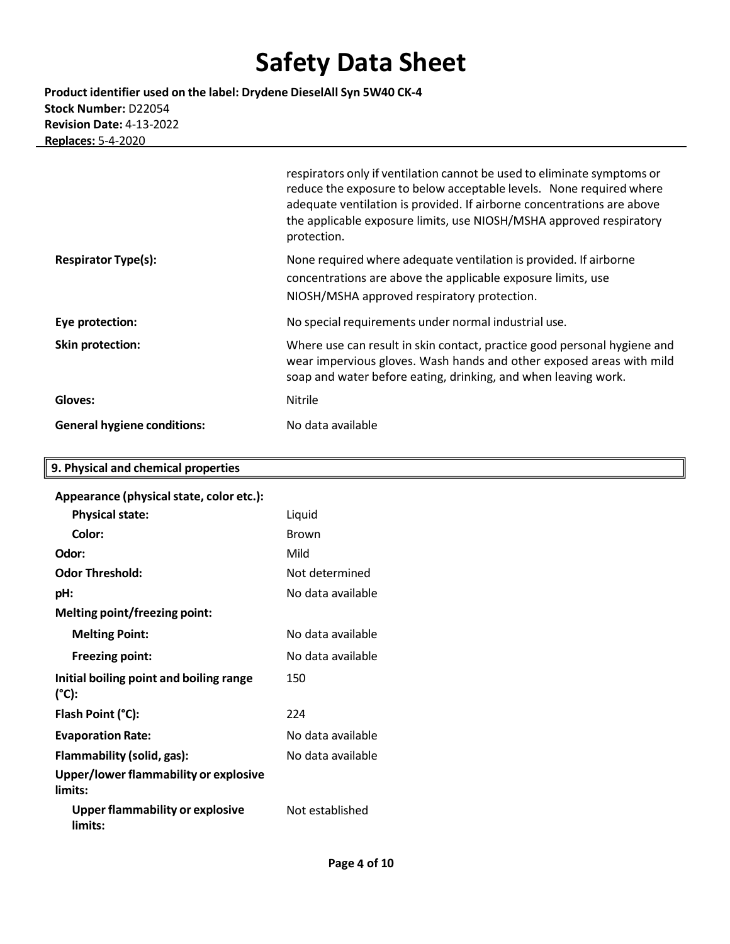**Product identifier used on the label: Drydene DieselAll Syn 5W40 CK-4 Stock Number:** D22054 **Revision Date:** 4-13-2022 **Replaces:** 5-4-2020

|                                    | respirators only if ventilation cannot be used to eliminate symptoms or<br>reduce the exposure to below acceptable levels. None required where<br>adequate ventilation is provided. If airborne concentrations are above<br>the applicable exposure limits, use NIOSH/MSHA approved respiratory<br>protection. |
|------------------------------------|----------------------------------------------------------------------------------------------------------------------------------------------------------------------------------------------------------------------------------------------------------------------------------------------------------------|
| <b>Respirator Type(s):</b>         | None required where adequate ventilation is provided. If airborne<br>concentrations are above the applicable exposure limits, use<br>NIOSH/MSHA approved respiratory protection.                                                                                                                               |
| Eye protection:                    | No special requirements under normal industrial use.                                                                                                                                                                                                                                                           |
| <b>Skin protection:</b>            | Where use can result in skin contact, practice good personal hygiene and<br>wear impervious gloves. Wash hands and other exposed areas with mild<br>soap and water before eating, drinking, and when leaving work.                                                                                             |
| Gloves:                            | <b>Nitrile</b>                                                                                                                                                                                                                                                                                                 |
| <b>General hygiene conditions:</b> | No data available                                                                                                                                                                                                                                                                                              |

╗

| 9. Physical and chemical properties               |                   |
|---------------------------------------------------|-------------------|
| Appearance (physical state, color etc.):          |                   |
| <b>Physical state:</b>                            | Liquid            |
| Color:                                            | <b>Brown</b>      |
| Odor:                                             | Mild              |
| <b>Odor Threshold:</b>                            | Not determined    |
| pH:                                               | No data available |
| Melting point/freezing point:                     |                   |
| <b>Melting Point:</b>                             | No data available |
| <b>Freezing point:</b>                            | No data available |
| Initial boiling point and boiling range<br>(°C):  | 150               |
| Flash Point (°C):                                 | 224               |
| <b>Evaporation Rate:</b>                          | No data available |
| Flammability (solid, gas):                        | No data available |
| Upper/lower flammability or explosive<br>limits:  |                   |
| <b>Upper flammability or explosive</b><br>limits: | Not established   |
|                                                   |                   |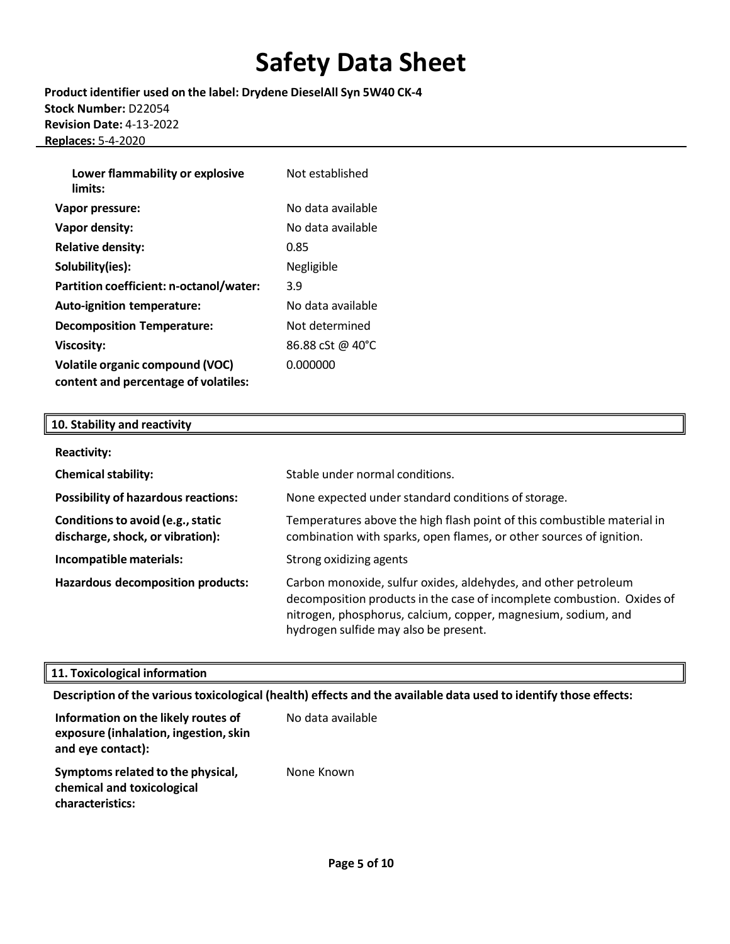**Product identifier used on the label: Drydene DieselAll Syn 5W40 CK-4 Stock Number:** D22054 **Revision Date:** 4-13-2022 **Replaces:** 5-4-2020

| Lower flammability or explosive<br>limits: | Not established   |
|--------------------------------------------|-------------------|
| Vapor pressure:                            | No data available |
| Vapor density:                             | No data available |
| <b>Relative density:</b>                   | 0.85              |
| Solubility(ies):                           | Negligible        |
| Partition coefficient: n-octanol/water:    | 3.9               |
| Auto-ignition temperature:                 | No data available |
| <b>Decomposition Temperature:</b>          | Not determined    |
| <b>Viscosity:</b>                          | 86.88 cSt @ 40°C  |
| <b>Volatile organic compound (VOC)</b>     | 0.000000          |
| content and percentage of volatiles:       |                   |

### **10. Stability and reactivity**

| <b>Reactivity:</b>                                                    |                                                                                                                                                                                                                                                    |
|-----------------------------------------------------------------------|----------------------------------------------------------------------------------------------------------------------------------------------------------------------------------------------------------------------------------------------------|
| <b>Chemical stability:</b>                                            | Stable under normal conditions.                                                                                                                                                                                                                    |
| <b>Possibility of hazardous reactions:</b>                            | None expected under standard conditions of storage.                                                                                                                                                                                                |
| Conditions to avoid (e.g., static<br>discharge, shock, or vibration): | Temperatures above the high flash point of this combustible material in<br>combination with sparks, open flames, or other sources of ignition.                                                                                                     |
| Incompatible materials:                                               | Strong oxidizing agents                                                                                                                                                                                                                            |
| <b>Hazardous decomposition products:</b>                              | Carbon monoxide, sulfur oxides, aldehydes, and other petroleum<br>decomposition products in the case of incomplete combustion. Oxides of<br>nitrogen, phosphorus, calcium, copper, magnesium, sodium, and<br>hydrogen sulfide may also be present. |

### **11. Toxicological information**

**Description of the varioustoxicological (health) effects and the available data used to identify those effects:**

| Information on the likely routes of<br>exposure (inhalation, ingestion, skin<br>and eye contact): | No data available |
|---------------------------------------------------------------------------------------------------|-------------------|
| Symptoms related to the physical,<br>chemical and toxicological<br>characteristics:               | None Known        |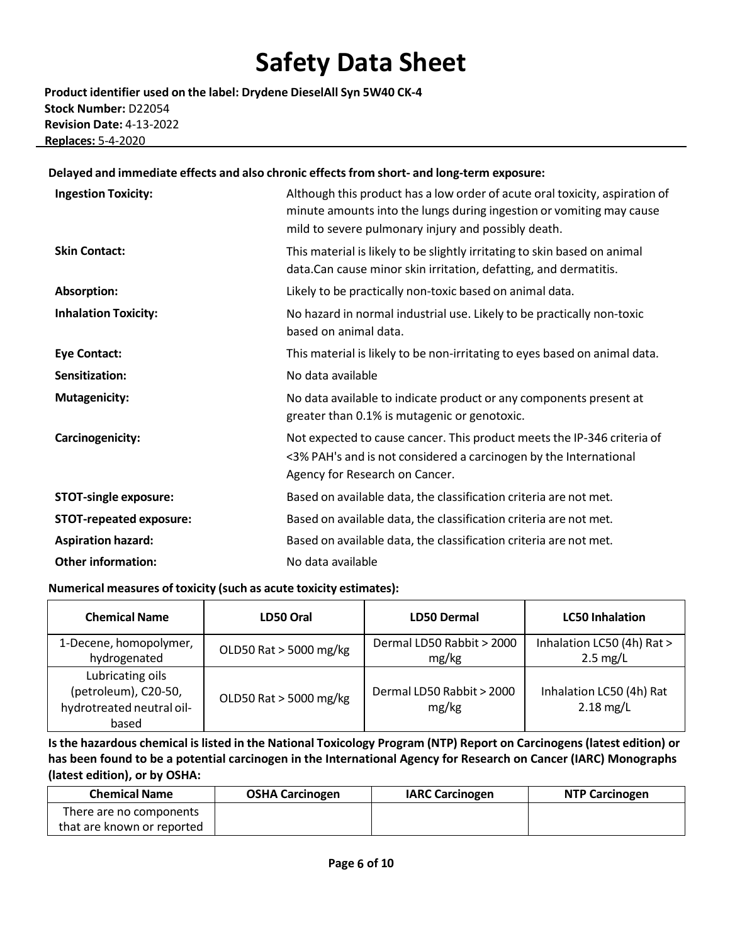**Product identifier used on the label: Drydene DieselAll Syn 5W40 CK-4 Stock Number:** D22054 **Revision Date:** 4-13-2022 **Replaces:** 5-4-2020

#### **Delayed and immediate effects and also chronic effectsfrom short- and long-term exposure:**

| <b>Ingestion Toxicity:</b>     | Although this product has a low order of acute oral toxicity, aspiration of<br>minute amounts into the lungs during ingestion or vomiting may cause<br>mild to severe pulmonary injury and possibly death. |
|--------------------------------|------------------------------------------------------------------------------------------------------------------------------------------------------------------------------------------------------------|
| <b>Skin Contact:</b>           | This material is likely to be slightly irritating to skin based on animal<br>data. Can cause minor skin irritation, defatting, and dermatitis.                                                             |
| Absorption:                    | Likely to be practically non-toxic based on animal data.                                                                                                                                                   |
| <b>Inhalation Toxicity:</b>    | No hazard in normal industrial use. Likely to be practically non-toxic<br>based on animal data.                                                                                                            |
| <b>Eye Contact:</b>            | This material is likely to be non-irritating to eyes based on animal data.                                                                                                                                 |
| Sensitization:                 | No data available                                                                                                                                                                                          |
| <b>Mutagenicity:</b>           | No data available to indicate product or any components present at<br>greater than 0.1% is mutagenic or genotoxic.                                                                                         |
| Carcinogenicity:               | Not expected to cause cancer. This product meets the IP-346 criteria of<br><3% PAH's and is not considered a carcinogen by the International<br>Agency for Research on Cancer.                             |
| <b>STOT-single exposure:</b>   | Based on available data, the classification criteria are not met.                                                                                                                                          |
| <b>STOT-repeated exposure:</b> | Based on available data, the classification criteria are not met.                                                                                                                                          |
| <b>Aspiration hazard:</b>      | Based on available data, the classification criteria are not met.                                                                                                                                          |
| <b>Other information:</b>      | No data available                                                                                                                                                                                          |

#### **Numerical measures of toxicity (such as acute toxicity estimates):**

| <b>Chemical Name</b>                                                           | LD50 Oral              | <b>LD50 Dermal</b>                 | <b>LC50 Inhalation</b>                           |
|--------------------------------------------------------------------------------|------------------------|------------------------------------|--------------------------------------------------|
| 1-Decene, homopolymer,<br>hydrogenated                                         | OLD50 Rat > 5000 mg/kg | Dermal LD50 Rabbit > 2000<br>mg/kg | Inhalation LC50 (4h) Rat ><br>$2.5 \text{ mg/L}$ |
| Lubricating oils<br>(petroleum), C20-50,<br>hydrotreated neutral oil-<br>based | OLD50 Rat > 5000 mg/kg | Dermal LD50 Rabbit > 2000<br>mg/kg | Inhalation LC50 (4h) Rat<br>$2.18$ mg/L          |

Is the hazardous chemical is listed in the National Toxicology Program (NTP) Report on Carcinogens (latest edition) or **has been found to be a potential carcinogen in the International Agency for Research on Cancer (IARC) Monographs (latest edition), or by OSHA:**

| <b>Chemical Name</b>       | <b>OSHA Carcinogen</b> | <b>IARC Carcinogen</b> | <b>NTP Carcinogen</b> |
|----------------------------|------------------------|------------------------|-----------------------|
| There are no components    |                        |                        |                       |
| that are known or reported |                        |                        |                       |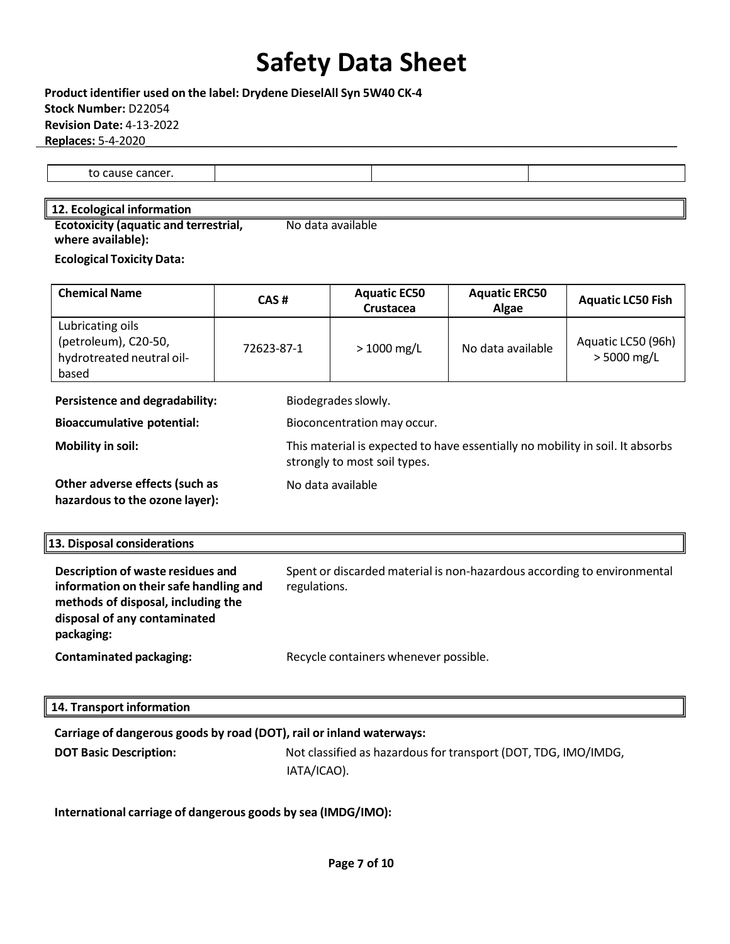$\overline{a}$ 

**Product identifier used on the label: Drydene DieselAll Syn 5W40 CK-4 Stock Number:** D22054 **Revision Date:** 4-13-2022 **Replaces:** 5-4-2020\_\_\_\_\_\_\_\_\_\_\_\_\_\_\_\_\_\_\_\_\_\_\_\_\_\_\_\_\_\_\_\_\_\_\_\_\_\_\_\_\_\_\_\_\_\_\_\_\_\_\_\_\_\_\_\_\_\_\_\_\_\_\_\_\_\_\_\_\_\_\_\_\_\_\_\_\_\_\_\_\_\_\_

to cause cancer.

#### **12. Ecological information**

**Ecotoxicity (aquatic and terrestrial, where available):**  No data available

**Ecological Toxicity Data:**

| <b>Chemical Name</b>                                                           | CAS#        | <b>Aquatic EC50</b><br><b>Crustacea</b>                                                                       | <b>Aquatic ERC50</b><br>Algae                                           | <b>Aquatic LC50 Fish</b>            |
|--------------------------------------------------------------------------------|-------------|---------------------------------------------------------------------------------------------------------------|-------------------------------------------------------------------------|-------------------------------------|
| Lubricating oils<br>(petroleum), C20-50,<br>hydrotreated neutral oil-<br>based | 72623-87-1  | $> 1000$ mg/L                                                                                                 | No data available                                                       | Aquatic LC50 (96h)<br>$> 5000$ mg/L |
| Persistence and degradability:                                                 |             | Biodegrades slowly.                                                                                           |                                                                         |                                     |
| <b>Bioaccumulative potential:</b>                                              |             | Bioconcentration may occur.                                                                                   |                                                                         |                                     |
| Mobility in soil:                                                              |             | This material is expected to have essentially no mobility in soil. It absorbs<br>strongly to most soil types. |                                                                         |                                     |
| Other adverse effects (such as<br>hazardous to the ozone layer):               |             | No data available                                                                                             |                                                                         |                                     |
| 13. Disposal considerations                                                    |             |                                                                                                               |                                                                         |                                     |
| Description of waste residues and<br>information on their safe handling and    | regulations |                                                                                                               | Spent or discarded material is non-hazardous according to environmental |                                     |

| information on their safe handling and<br>methods of disposal, including the<br>disposal of any contaminated<br>packaging: | regulations.                          |
|----------------------------------------------------------------------------------------------------------------------------|---------------------------------------|
| <b>Contaminated packaging:</b>                                                                                             | Recycle containers whenever possible. |

#### **14. Transport information**

### **Carriage of dangerous goods by road (DOT), rail or inland waterways:**

**DOT Basic Description:** Not classified as hazardous for transport (DOT, TDG, IMO/IMDG, IATA/ICAO).

**International carriage of dangerous goods by sea (IMDG/IMO):**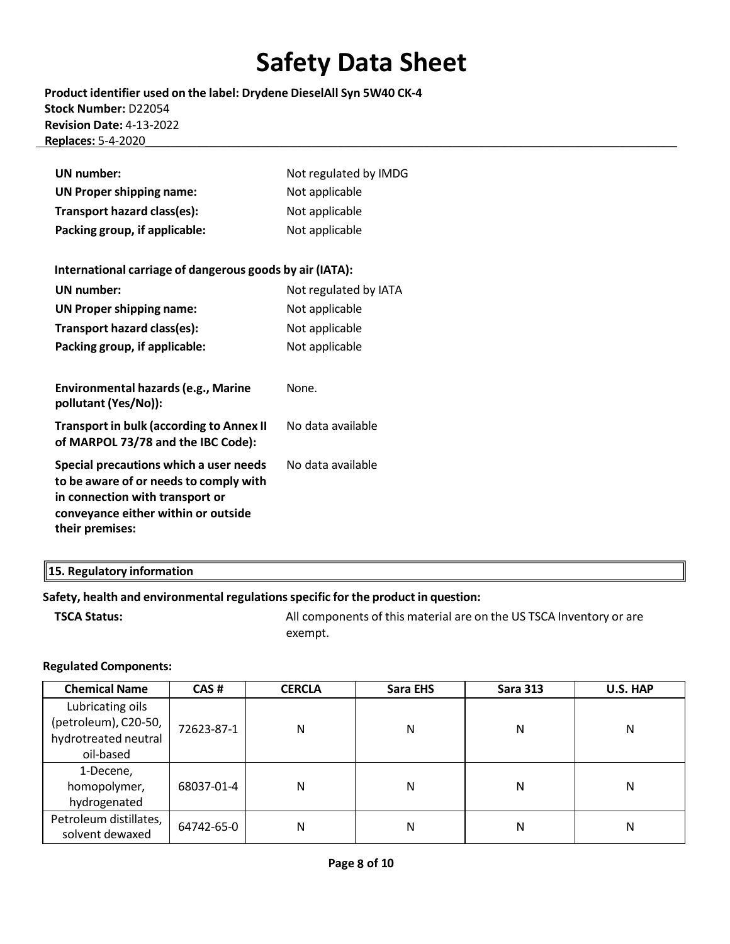**Product identifier used on the label: Drydene DieselAll Syn 5W40 CK-4 Stock Number:** D22054 **Revision Date:** 4-13-2022 **Replaces:** 5-4-2020\_\_\_\_\_\_\_\_\_\_\_\_\_\_\_\_\_\_\_\_\_\_\_\_\_\_\_\_\_\_\_\_\_\_\_\_\_\_\_\_\_\_\_\_\_\_\_\_\_\_\_\_\_\_\_\_\_\_\_\_\_\_\_\_\_\_\_\_\_\_\_\_\_\_\_\_\_\_\_\_\_\_\_

| <b>UN</b> number:                                                                                                                                                             | Not regulated by IMDG |
|-------------------------------------------------------------------------------------------------------------------------------------------------------------------------------|-----------------------|
| <b>UN Proper shipping name:</b>                                                                                                                                               | Not applicable        |
| Transport hazard class(es):                                                                                                                                                   | Not applicable        |
| Packing group, if applicable:                                                                                                                                                 | Not applicable        |
|                                                                                                                                                                               |                       |
| International carriage of dangerous goods by air (IATA):                                                                                                                      |                       |
| <b>UN number:</b>                                                                                                                                                             | Not regulated by IATA |
| <b>UN Proper shipping name:</b>                                                                                                                                               | Not applicable        |
| Transport hazard class(es):                                                                                                                                                   | Not applicable        |
| Packing group, if applicable:                                                                                                                                                 | Not applicable        |
|                                                                                                                                                                               |                       |
| <b>Environmental hazards (e.g., Marine</b><br>pollutant (Yes/No)):                                                                                                            | None.                 |
| <b>Transport in bulk (according to Annex II</b><br>of MARPOL 73/78 and the IBC Code):                                                                                         | No data available     |
| Special precautions which a user needs<br>to be aware of or needs to comply with<br>in connection with transport or<br>conveyance either within or outside<br>their premises: | No data available     |

### **15. Regulatory information**

### **Safety, health and environmental regulationsspecific for the product in question:**

**TSCA Status: All components of this material are on the US TSCA Inventory or are** and **NSCA** Inventory or are exempt.

#### **Regulated Components:**

| <b>Chemical Name</b>   | CAS#       | <b>CERCLA</b> | Sara EHS | <b>Sara 313</b> | U.S. HAP |
|------------------------|------------|---------------|----------|-----------------|----------|
| Lubricating oils       |            |               |          |                 |          |
| (petroleum), C20-50,   | 72623-87-1 | Ν             | Ν        | N               | N        |
| hydrotreated neutral   |            |               |          |                 |          |
| oil-based              |            |               |          |                 |          |
| 1-Decene,              |            |               |          |                 |          |
| homopolymer,           | 68037-01-4 | Ν             | Ν        | N               | N        |
| hydrogenated           |            |               |          |                 |          |
| Petroleum distillates, | 64742-65-0 | Ν             | Ν        | N               | N        |
| solvent dewaxed        |            |               |          |                 |          |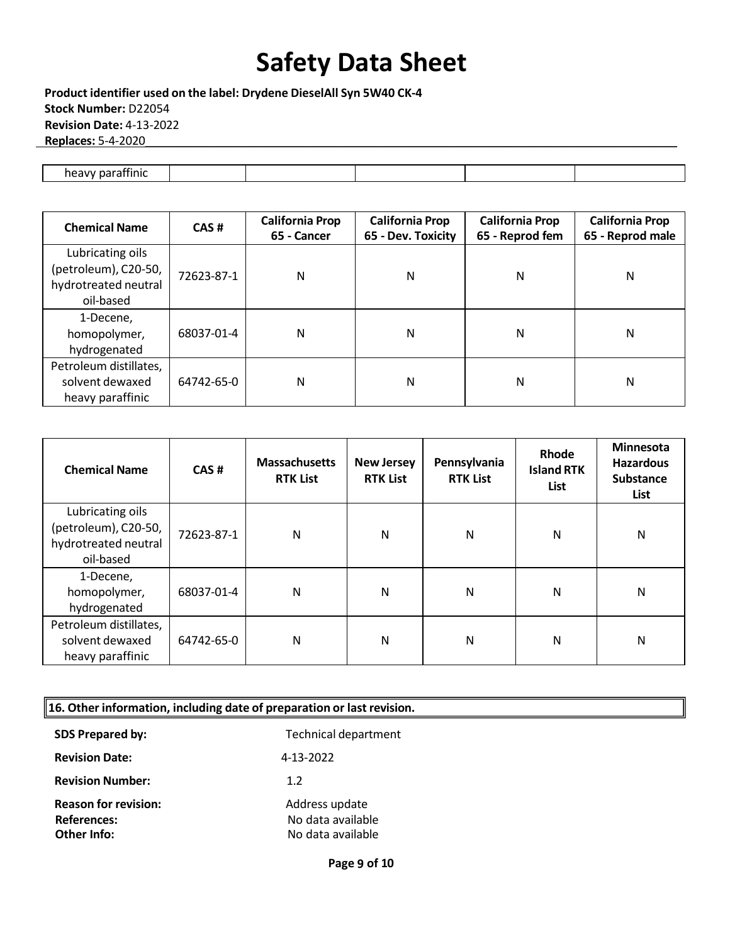**Product identifier used on the label: Drydene DieselAll Syn 5W40 CK-4 Stock Number:** D22054 **Revision Date:** 4-13-2022 **Replaces:** 5-4-2020\_\_\_\_\_\_\_\_\_\_\_\_\_\_\_\_\_\_\_\_\_\_\_\_\_\_\_\_\_\_\_\_\_\_\_\_\_\_\_\_\_\_\_\_\_\_\_\_\_\_\_\_\_\_\_\_\_\_\_\_\_\_\_\_\_\_\_\_\_\_\_\_\_\_\_\_\_\_\_\_\_\_\_

| 11<br> |  |  |  |
|--------|--|--|--|

| <b>Chemical Name</b>                                                          | CAS#       | <b>California Prop</b><br>65 - Cancer | <b>California Prop</b><br>65 - Dev. Toxicity | <b>California Prop</b><br>65 - Reprod fem | <b>California Prop</b><br>65 - Reprod male |
|-------------------------------------------------------------------------------|------------|---------------------------------------|----------------------------------------------|-------------------------------------------|--------------------------------------------|
| Lubricating oils<br>(petroleum), C20-50,<br>hydrotreated neutral<br>oil-based | 72623-87-1 | Ν                                     | N                                            | N                                         | N                                          |
| 1-Decene.<br>homopolymer,<br>hydrogenated                                     | 68037-01-4 | Ν                                     | N                                            | Ν                                         | Ν                                          |
| Petroleum distillates,<br>solvent dewaxed<br>heavy paraffinic                 | 64742-65-0 | Ν                                     | N                                            | Ν                                         | Ν                                          |

| <b>Chemical Name</b>                                          | CAS#       | <b>Massachusetts</b><br><b>RTK List</b> | <b>New Jersey</b><br><b>RTK List</b> | Pennsylvania<br><b>RTK List</b> | Rhode<br><b>Island RTK</b><br>List | <b>Minnesota</b><br><b>Hazardous</b><br><b>Substance</b><br>List |
|---------------------------------------------------------------|------------|-----------------------------------------|--------------------------------------|---------------------------------|------------------------------------|------------------------------------------------------------------|
| Lubricating oils<br>(petroleum), C20-50,                      | 72623-87-1 | N                                       | N                                    | Ν                               | N                                  | N                                                                |
| hydrotreated neutral<br>oil-based                             |            |                                         |                                      |                                 |                                    |                                                                  |
| 1-Decene,<br>homopolymer,<br>hydrogenated                     | 68037-01-4 | N                                       | N                                    | Ν                               | N                                  | N                                                                |
| Petroleum distillates,<br>solvent dewaxed<br>heavy paraffinic | 64742-65-0 | N                                       | N                                    | N                               | N                                  | N                                                                |

| 16. Other information, including date of preparation or last revision. |                                        |  |
|------------------------------------------------------------------------|----------------------------------------|--|
| <b>SDS Prepared by:</b>                                                | <b>Technical department</b>            |  |
| <b>Revision Date:</b>                                                  | 4-13-2022                              |  |
| <b>Revision Number:</b>                                                | 1.2                                    |  |
| <b>Reason for revision:</b>                                            | Address update                         |  |
| References:<br><b>Other Info:</b>                                      | No data available<br>No data available |  |
|                                                                        |                                        |  |